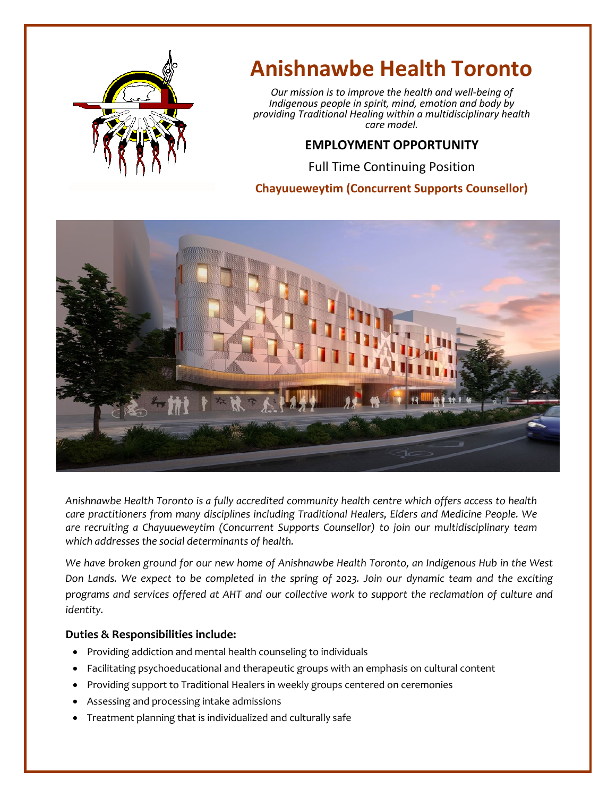

# **Anishnawbe Health Toronto**

*Our mission is to improve the health and well-being of Indigenous people in spirit, mind, emotion and body by providing Traditional Healing within a multidisciplinary health care model.*

# **EMPLOYMENT OPPORTUNITY**

Full Time Continuing Position

## **Chayuueweytim (Concurrent Supports Counsellor)**



*Anishnawbe Health Toronto is a fully accredited community health centre which offers access to health care practitioners from many disciplines including Traditional Healers, Elders and Medicine People. We are recruiting a Chayuueweytim (Concurrent Supports Counsellor) to join our multidisciplinary team which addresses the social determinants of health.*

*We have broken ground for our new home of Anishnawbe Health Toronto, an Indigenous Hub in the West Don Lands. We expect to be completed in the spring of 2023. Join our dynamic team and the exciting programs and services offered at AHT and our collective work to support the reclamation of culture and identity.*

#### **Duties & Responsibilities include:**

- Providing addiction and mental health counseling to individuals
- Facilitating psychoeducational and therapeutic groups with an emphasis on cultural content
- Providing support to Traditional Healers in weekly groups centered on ceremonies
- Assessing and processing intake admissions
- Treatment planning that is individualized and culturally safe